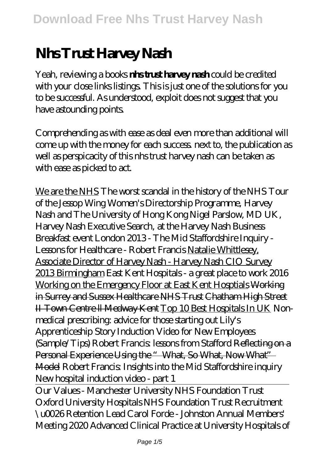## **Nhs Trust Harvey Nash**

Yeah, reviewing a books **nhs trust harvey nash** could be credited with your close links listings. This is just one of the solutions for you to be successful. As understood, exploit does not suggest that you have astounding points.

Comprehending as with ease as deal even more than additional will come up with the money for each success. next to, the publication as well as perspicacity of this nhs trust harvey nash can be taken as with ease as picked to act.

We are the NHS The worst scandal in the history of the NHS *Tour of the Jessop Wing* Women's Directorship Programme, Harvey Nash and The University of Hong Kong Nigel Parslow, MD UK, Harvey Nash Executive Search, at the Harvey Nash Business Breakfast event London 2013 - The Mid Staffordshire Inquiry - Lessons for Healthcare - Robert Francis Natalie Whittlesey, Associate Director of Harvey Nash - Harvey Nash CIO Survey 2013 Birmingham *East Kent Hospitals - a great place to work 2016* Working on the Emergency Floor at East Kent Hosptials Working in Surrey and Sussex Healthcare NHS Trust Chatham High Street II Town Centre ll Medway Kent Top 10 Best Hospitals In UK *Nonmedical prescribing: advice for those starting out* Lily's Apprenticeship Story Induction Video for New Employees (Sample/Tips) Robert Francis: lessons from Stafford Reflecting on a Personal Experience Using the "What, So What, Now What" Model *Robert Francis: Insights into the Mid Staffordshire inquiry New hospital induction video - part 1*

Our Values - Manchester University NHS Foundation Trust Oxford University Hospitals NHS Foundation Trust Recruitment \u0026 Retention Lead Carol Forde - Johnston Annual Members' Meeting 2020 Advanced Clinical Practice at University Hospitals of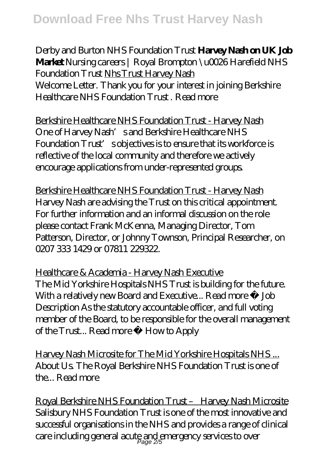Derby and Burton NHS Foundation Trust **Harvey Nash on UK Job Market** *Nursing careers | Royal Brompton \u0026 Harefield NHS Foundation Trust* Nhs Trust Harvey Nash Welcome Letter. Thank you for your interest in joining Berkshire Healthcare NHS Foundation Trust . Read more

Berkshire Healthcare NHS Foundation Trust - Harvey Nash One of Harvey Nash's and Berkshire Healthcare NHS Foundation Trust's objectives is to ensure that its workforce is reflective of the local community and therefore we actively encourage applications from under-represented groups.

Berkshire Healthcare NHS Foundation Trust - Harvey Nash Harvey Nash are advising the Trust on this critical appointment. For further information and an informal discussion on the role please contact Frank McKenna, Managing Director, Tom Patterson, Director, or Johnny Townson, Principal Researcher, on 0207 333 1429 or 07811 229322.

Healthcare & Academia - Harvey Nash Executive The Mid Yorkshire Hospitals NHS Trust is building for the future. With a relatively new Board and Executive... Read more » Job Description As the statutory accountable officer, and full voting member of the Board, to be responsible for the overall management of the Trust... Read more » How to Apply

Harvey Nash Microsite for The Mid Yorkshire Hospitals NHS ... About Us. The Royal Berkshire NHS Foundation Trust is one of the... Read more

Royal Berkshire NHS Foundation Trust – Harvey Nash Microsite Salisbury NHS Foundation Trust is one of the most innovative and successful organisations in the NHS and provides a range of clinical care including general acute and emergency services to over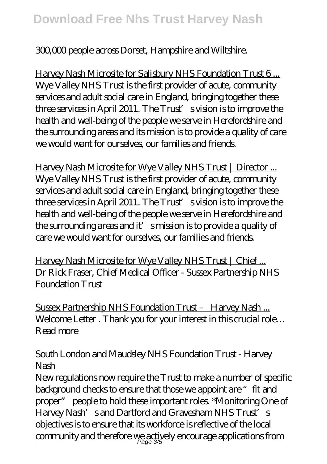## 300,000 people across Dorset, Hampshire and Wiltshire.

Harvey Nash Microsite for Salisbury NHS Foundation Trust 6... Wye Valley NHS Trust is the first provider of acute, community services and adult social care in England, bringing together these three services in April 2011. The Trust's vision is to improve the health and well-being of the people we serve in Herefordshire and the surrounding areas and its mission is to provide a quality of care we would want for ourselves, our families and friends.

Harvey Nash Microsite for Wye Valley NHS Trust | Director ... Wye Valley NHS Trust is the first provider of acute, community services and adult social care in England, bringing together these three services in April 2011. The Trust's vision is to improve the health and well-being of the people we serve in Herefordshire and the surrounding areas and it' smission is to provide a quality of care we would want for ourselves, our families and friends.

Harvey Nash Microsite for Wye Valley NHS Trust | Chief... Dr Rick Fraser, Chief Medical Officer - Sussex Partnership NHS Foundation Trust

Sussex Partnership NHS Foundation Trust - Harvey Nash... Welcome Letter . Thank you for your interest in this crucial role... Read more

## South London and Maudsley NHS Foundation Trust - Harvey **Nash**

New regulations now require the Trust to make a number of specific background checks to ensure that those we appoint are "fit and proper" people to hold these important roles. \*Monitoring One of Harvey Nash's and Dartford and Gravesham NHS Trust's objectives is to ensure that its workforce is reflective of the local community and therefore  $v_{\text{Page}}$  3/5 ely encourage applications from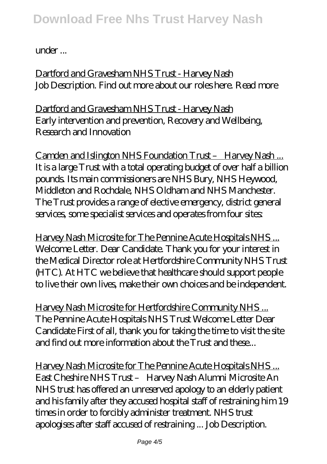## under ...

Dartford and Gravesham NHS Trust - Harvey Nash Job Description. Find out more about our roles here. Read more

Dartford and Gravesham NHS Trust - Harvey Nash Early intervention and prevention, Recovery and Wellbeing, Research and Innovation

Camden and Islington NHS Foundation Trust – Harvey Nash ... It is a large Trust with a total operating budget of over half a billion pounds. Its main commissioners are NHS Bury, NHS Heywood, Middleton and Rochdale, NHS Oldham and NHS Manchester. The Trust provides a range of elective emergency, district general services, some specialist services and operates from four sites:

Harvey Nash Microsite for The Pennine Acute Hospitals NHS ... Welcome Letter. Dear Candidate. Thank you for your interest in the Medical Director role at Hertfordshire Community NHS Trust (HTC). At HTC we believe that healthcare should support people to live their own lives, make their own choices and be independent.

Harvey Nash Microsite for Hertfordshire Community NHS ... The Pennine Acute Hospitals NHS Trust Welcome Letter Dear Candidate First of all, thank you for taking the time to visit the site and find out more information about the Trust and these...

Harvey Nash Microsite for The Pennine Acute Hospitals NHS ... East Cheshire NHS Trust – Harvey Nash Alumni Microsite An NHS trust has offered an unreserved apology to an elderly patient and his family after they accused hospital staff of restraining him 19 times in order to forcibly administer treatment. NHS trust apologises after staff accused of restraining ... Job Description.